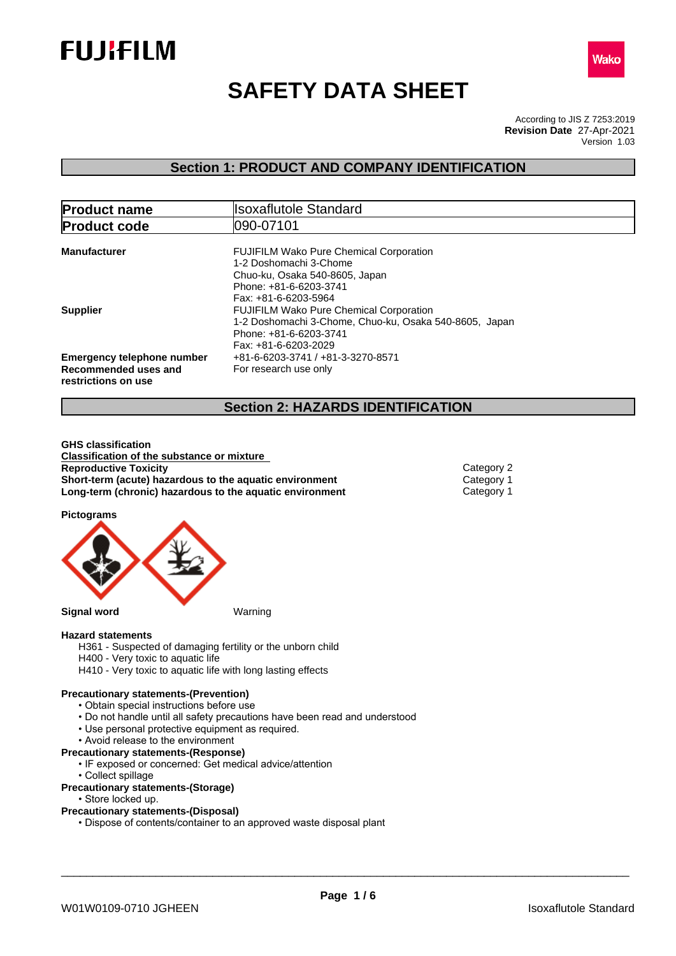



# **SAFETY DATA SHEET**

According to JIS Z 7253:2019 Version 1.03 **Revision Date** 27-Apr-2021

## **Section 1: PRODUCT AND COMPANY IDENTIFICATION**

| <b>Product name</b>                                                              | <b>Isoxaflutole Standard</b>                                                                                                                                 |  |  |  |
|----------------------------------------------------------------------------------|--------------------------------------------------------------------------------------------------------------------------------------------------------------|--|--|--|
| <b>Product code</b>                                                              | 090-07101                                                                                                                                                    |  |  |  |
| <b>Manufacturer</b>                                                              | <b>FUJIFILM Wako Pure Chemical Corporation</b><br>1-2 Doshomachi 3-Chome<br>Chuo-ku, Osaka 540-8605, Japan<br>Phone: +81-6-6203-3741<br>Fax: +81-6-6203-5964 |  |  |  |
| <b>Supplier</b>                                                                  | <b>FUJIFILM Wako Pure Chemical Corporation</b><br>1-2 Doshomachi 3-Chome, Chuo-ku, Osaka 540-8605, Japan<br>Phone: +81-6-6203-3741<br>Fax: +81-6-6203-2029   |  |  |  |
| <b>Emergency telephone number</b><br>Recommended uses and<br>restrictions on use | +81-6-6203-3741 / +81-3-3270-8571<br>For research use only                                                                                                   |  |  |  |

## **Section 2: HAZARDS IDENTIFICATION**

**GHS classification Classification of the substance or mixture Reproductive Toxicity** Category 2 **Short-term (acute) hazardous to the aquatic environment** Category 1<br> **Long-term (chronic) hazardous to the aquatic environment** Category 1 **Long-term (chronic) hazardous to the aquatic environment** 

**Pictograms**



#### **Hazard statements**

H361 - Suspected of damaging fertility or the unborn child

- H400 Very toxic to aquatic life
- H410 Very toxic to aquatic life with long lasting effects

#### **Precautionary statements-(Prevention)**

- Obtain special instructions before use
- Do not handle until all safety precautions have been read and understood
- Use personal protective equipment as required.
- Avoid release to the environment
- **Precautionary statements-(Response)**
	- IF exposed or concerned: Get medical advice/attention
	- Collect spillage
- **Precautionary statements-(Storage)**
	- Store locked up.

#### **Precautionary statements-(Disposal)**

• Dispose of contents/container to an approved waste disposal plant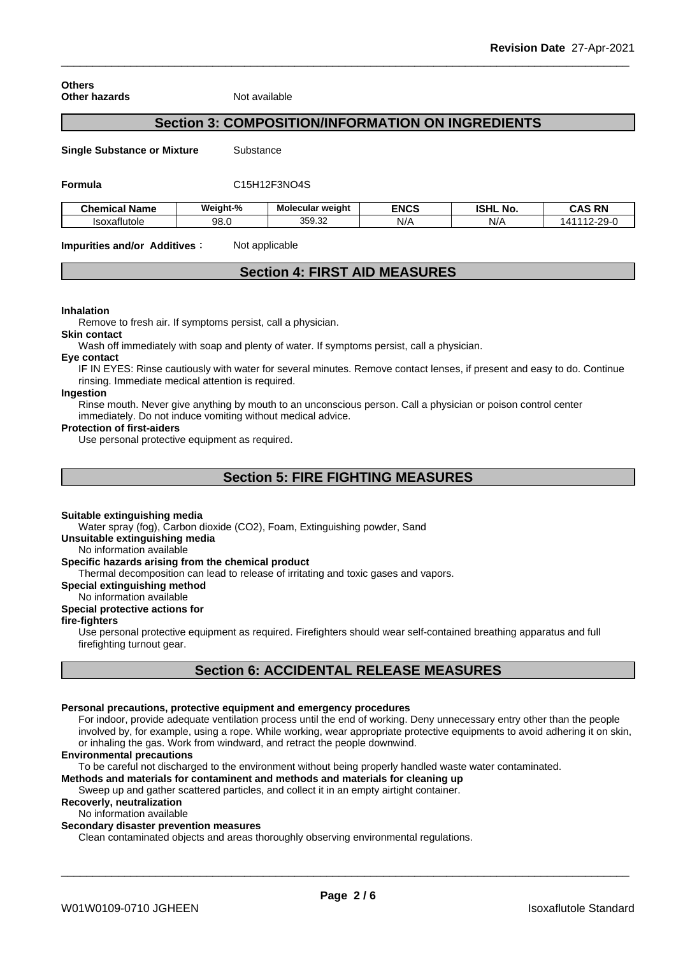**Others Other hazards** Not available

## **Section 3: COMPOSITION/INFORMATION ON INGREDIENTS**

**Single Substance or Mixture** Substance

**Formula** C15H12F3NO4S

| Chemical Name | Weight-% | Molecular weight               | <b>ENCS</b> | ונוסו<br>NO.<br>וספו | <b>CAS RN</b> |
|---------------|----------|--------------------------------|-------------|----------------------|---------------|
| Isoxatlutole  | 98.0     | 350<br>$\sim$<br><u>JJJ.JZ</u> | N/r         | N/r                  | . .           |

**Impurities and/or Additives:** Not applicable

## **Section 4: FIRST AID MEASURES**

#### **Inhalation**

Remove to fresh air. If symptoms persist, call a physician.

**Skin contact**

Wash off immediately with soap and plenty of water. If symptoms persist, call a physician.

#### **Eye contact**

IF IN EYES: Rinse cautiously with water for several minutes. Remove contact lenses, if present and easy to do. Continue rinsing. Immediate medical attention is required.

## **Ingestion**

Rinse mouth. Never give anything by mouth to an unconscious person. Call a physician or poison control center immediately. Do not induce vomiting without medical advice.

#### **Protection of first-aiders**

Use personal protective equipment as required.

## **Section 5: FIRE FIGHTING MEASURES**

#### **Suitable extinguishing media**

Water spray (fog), Carbon dioxide (CO2), Foam, Extinguishing powder, Sand

**Unsuitable extinguishing media**

#### No information available

#### **Specific hazards arising from the chemical product**

Thermal decomposition can lead to release of irritating and toxic gases and vapors.

#### **Special extinguishing method**

No information available

## **Special protective actions for**

## **fire-fighters**

Use personal protective equipment as required.Firefighters should wear self-contained breathing apparatus and full firefighting turnout gear.

## **Section 6: ACCIDENTAL RELEASE MEASURES**

#### **Personal precautions, protective equipment and emergency procedures**

For indoor, provide adequate ventilation process until the end of working. Deny unnecessary entry other than the people involved by, for example, using a rope. While working, wear appropriate protective equipments to avoid adhering it on skin, or inhaling the gas. Work from windward, and retract the people downwind.

#### **Environmental precautions**

To be careful not discharged to the environment without being properly handled waste water contaminated.

## **Methods and materials for contaminent and methods and materials for cleaning up**

Sweep up and gather scattered particles, and collect it in an empty airtight container.

## **Recoverly, neutralization**

No information available

## **Secondary disaster prevention measures**

Clean contaminated objects and areas thoroughly observing environmental regulations.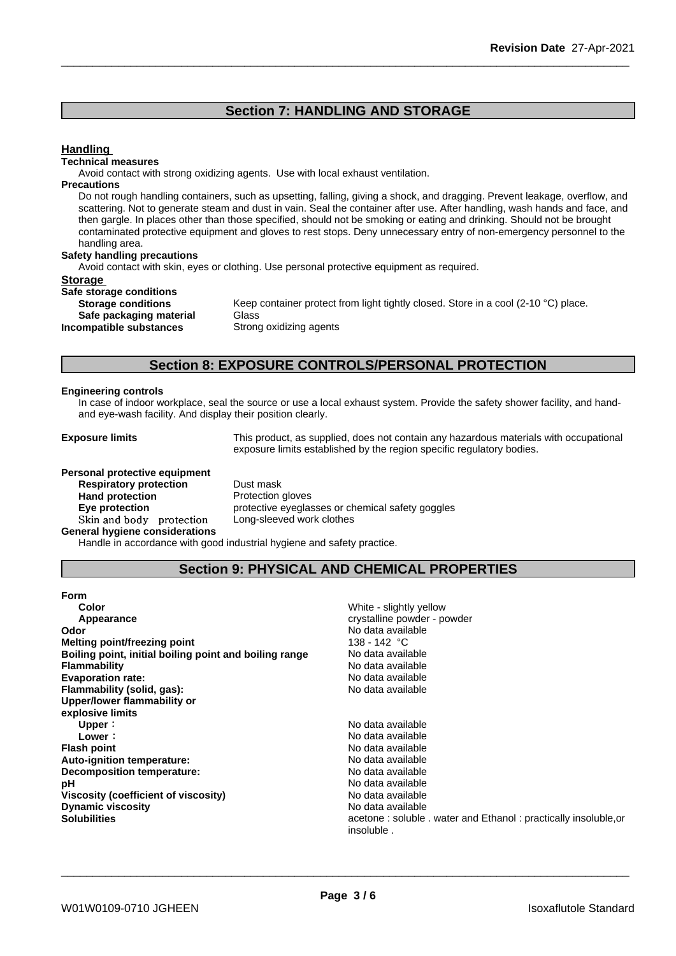## **Section 7: HANDLING AND STORAGE**

## **Handling**

#### **Technical measures**

Avoid contact with strong oxidizing agents. Use with local exhaust ventilation.

#### **Precautions**

Do not rough handling containers, such as upsetting, falling, giving a shock, and dragging. Prevent leakage, overflow, and scattering. Not to generate steam and dust in vain. Seal the container after use. After handling, wash hands and face, and then gargle. In places other than those specified, should not be smoking or eating and drinking. Should not be brought contaminated protective equipment and gloves to rest stops. Deny unnecessary entry of non-emergency personnel to the handling area.

#### **Safety handling precautions**

Avoid contact with skin, eyes or clothing. Use personal protective equipment as required.

#### **Storage**

| Safe storage conditions   |             |
|---------------------------|-------------|
| <b>Storage conditions</b> | Keep conta  |
| Safe packaging material   | Glass       |
| Incompatible substances   | Strong oxid |

Keep container protect from light tightly closed. Store in a cool (2-10 °C) place. **Safe packaging material** Glass **Strong oxidizing agents** 

## **Section 8: EXPOSURE CONTROLS/PERSONAL PROTECTION**

#### **Engineering controls**

In case of indoor workplace, seal the source or use a local exhaust system. Provide the safety shower facility, and handand eye-wash facility. And display their position clearly.

**Exposure limits** This product, as supplied, does not contain any hazardous materials with occupational exposure limits established by the region specific regulatory bodies.

#### **Personal protective equipment**

**Respiratory protection** Dust mask **Hand protection**<br> **Eye protection**<br> **Eye protection**<br> **Exercise Protective eveglas** Skin and body protection **General hygiene considerations**

protective eyeglasses or chemical safety goggles<br>Long-sleeved work clothes

Handle in accordance with good industrial hygiene and safety practice.

## **Section 9: PHYSICAL AND CHEMICAL PROPERTIES**

| Form                                                   |                                                                 |
|--------------------------------------------------------|-----------------------------------------------------------------|
| Color                                                  | White - slightly yellow                                         |
| Appearance                                             | crystalline powder - powder                                     |
| Odor                                                   | No data available                                               |
| Melting point/freezing point                           | 138 - 142 °C                                                    |
| Boiling point, initial boiling point and boiling range | No data available                                               |
| <b>Flammability</b>                                    | No data available                                               |
| <b>Evaporation rate:</b>                               | No data available                                               |
| Flammability (solid, gas):                             | No data available                                               |
| Upper/lower flammability or                            |                                                                 |
| explosive limits                                       |                                                                 |
| Upper:                                                 | No data available                                               |
| Lower :                                                | No data available                                               |
| <b>Flash point</b>                                     | No data available                                               |
| Auto-ignition temperature:                             | No data available                                               |
| Decomposition temperature:                             | No data available                                               |
| рH                                                     | No data available                                               |
| Viscosity (coefficient of viscosity)                   | No data available                                               |
| <b>Dynamic viscosity</b>                               | No data available                                               |
| <b>Solubilities</b>                                    | acetone: soluble . water and Ethanol: practically insoluble, or |
|                                                        | insoluble.                                                      |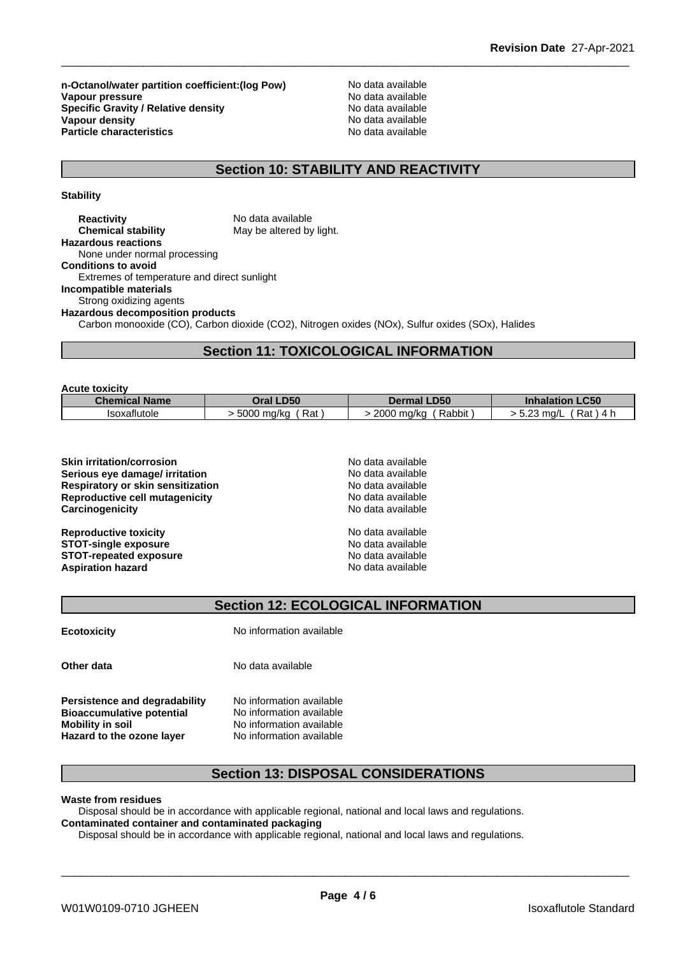**n-Octanol/water partition coefficient:(log Pow) No data available<br>
<b>Vapour pressure** No data available **Vapour pressure**<br> **Specific Gravity / Relative density**<br> **Specific Gravity / Relative density**<br> **No data available Specific Gravity / Relative density Vapour density**<br> **Particle characteristics**<br> **Particle characteristics**<br> **Particle characteristics Particle characteristics** 

## **Section 10: STABILITY AND REACTIVITY**

**Stability**

| <b>Reactivity</b>                           | No data available                                                                                |
|---------------------------------------------|--------------------------------------------------------------------------------------------------|
| <b>Chemical stability</b>                   | May be altered by light.                                                                         |
| <b>Hazardous reactions</b>                  |                                                                                                  |
| None under normal processing                |                                                                                                  |
| <b>Conditions to avoid</b>                  |                                                                                                  |
| Extremes of temperature and direct sunlight |                                                                                                  |
| Incompatible materials                      |                                                                                                  |
| Strong oxidizing agents                     |                                                                                                  |
| <b>Hazardous decomposition products</b>     |                                                                                                  |
|                                             | Carbon monooxide (CO), Carbon dioxide (CO2), Nitrogen oxides (NOx), Sulfur oxides (SOx), Halides |

## **Section 11: TOXICOLOGICAL INFORMATION**

| <b>Acute toxicity</b> |                      |                      |                          |
|-----------------------|----------------------|----------------------|--------------------------|
| <b>Chemical Name</b>  | Oral LD50            | <b>Dermal LD50</b>   | <b>Inhalation LC50</b>   |
| Isoxaflutole          | . 5000 ma/ka<br>Rat, | 2000 ma/ka<br>Rabbit | 5.23 ma/L<br>Rat<br>⊤4 h |

| <b>Skin irritation/corrosion</b>         | No data available |  |
|------------------------------------------|-------------------|--|
| Serious eye damage/ irritation           | No data available |  |
| <b>Respiratory or skin sensitization</b> | No data available |  |
| Reproductive cell mutagenicity           | No data available |  |
| Carcinogenicity                          | No data available |  |
| <b>Reproductive toxicity</b>             | No data available |  |
| <b>STOT-single exposure</b>              | No data available |  |
| <b>STOT-repeated exposure</b>            | No data available |  |
| <b>Aspiration hazard</b>                 | No data available |  |

## **Section 12: ECOLOGICAL INFORMATION**

| <b>Ecotoxicity</b>                                                                                                        | No information available                                                                                     |
|---------------------------------------------------------------------------------------------------------------------------|--------------------------------------------------------------------------------------------------------------|
| Other data                                                                                                                | No data available                                                                                            |
| Persistence and degradability<br><b>Bioaccumulative potential</b><br>Mobility in soil<br><b>Hazard to the ozone layer</b> | No information available<br>No information available<br>No information available<br>No information available |

## **Section 13: DISPOSAL CONSIDERATIONS**

**Waste from residues**

Disposal should be in accordance with applicable regional, national and local laws and regulations. **Contaminated container and contaminated packaging**

Disposal should be in accordance with applicable regional, national and local laws and regulations.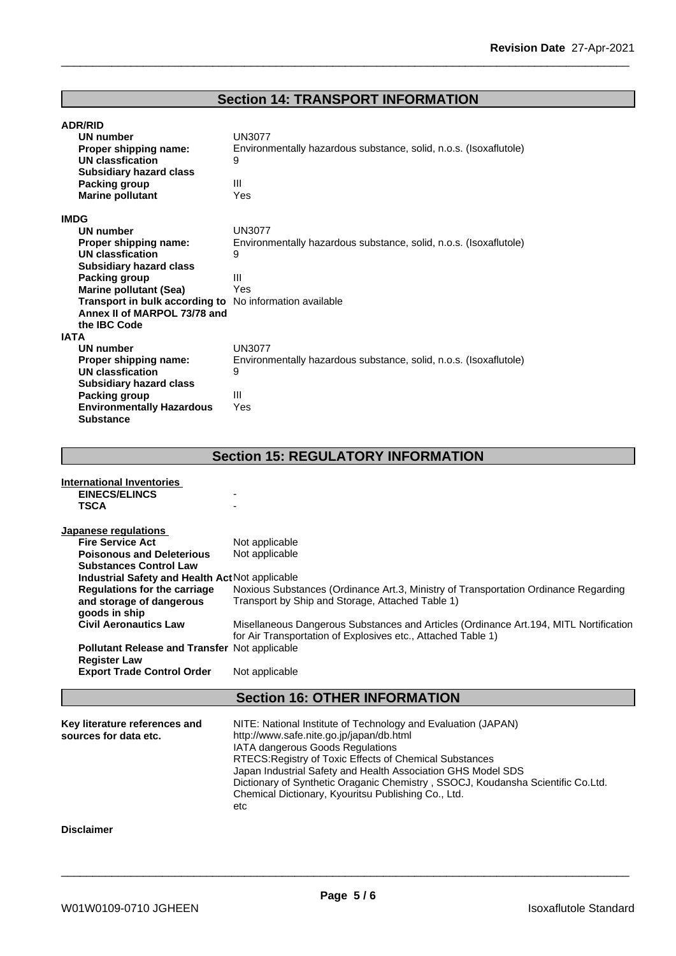## **Section 14: TRANSPORT INFORMATION**

| <b>ADR/RID</b>                                          |                                                                   |  |  |
|---------------------------------------------------------|-------------------------------------------------------------------|--|--|
| UN number                                               | <b>UN3077</b>                                                     |  |  |
| Proper shipping name:                                   | Environmentally hazardous substance, solid, n.o.s. (Isoxaflutole) |  |  |
| <b>UN classfication</b>                                 | 9                                                                 |  |  |
| <b>Subsidiary hazard class</b>                          |                                                                   |  |  |
| Packing group                                           | III                                                               |  |  |
| <b>Marine pollutant</b>                                 | Yes                                                               |  |  |
| <b>IMDG</b>                                             |                                                                   |  |  |
| <b>UN number</b>                                        | <b>UN3077</b>                                                     |  |  |
| Proper shipping name:                                   | Environmentally hazardous substance, solid, n.o.s. (Isoxaflutole) |  |  |
| <b>UN classfication</b>                                 | 9                                                                 |  |  |
| <b>Subsidiary hazard class</b>                          |                                                                   |  |  |
| <b>Packing group</b>                                    | III                                                               |  |  |
| <b>Marine pollutant (Sea)</b>                           | Yes                                                               |  |  |
| Transport in bulk according to No information available |                                                                   |  |  |
| Annex II of MARPOL 73/78 and                            |                                                                   |  |  |
| the IBC Code                                            |                                                                   |  |  |
| <b>IATA</b>                                             |                                                                   |  |  |
| <b>UN number</b>                                        | <b>UN3077</b>                                                     |  |  |
|                                                         |                                                                   |  |  |
| Proper shipping name:<br><b>UN classfication</b>        | Environmentally hazardous substance, solid, n.o.s. (Isoxaflutole) |  |  |
|                                                         | 9                                                                 |  |  |
| <b>Subsidiary hazard class</b>                          | III                                                               |  |  |
| <b>Packing group</b>                                    |                                                                   |  |  |
| <b>Environmentally Hazardous</b>                        | Yes                                                               |  |  |
| <b>Substance</b>                                        |                                                                   |  |  |
|                                                         |                                                                   |  |  |
|                                                         | <b>Section 15: REGULATORY INFORMATION</b>                         |  |  |
| <b>International Inventories</b>                        |                                                                   |  |  |
| <b>EINECS/ELINCS</b>                                    |                                                                   |  |  |
| <b>TSCA</b>                                             |                                                                   |  |  |
|                                                         |                                                                   |  |  |
| Japanese regulations                                    |                                                                   |  |  |
| <b>Fire Service Act</b>                                 | Not applicable                                                    |  |  |
| <b>Poisonous and Deleterious</b>                        | Not applicable                                                    |  |  |
| <b>Substances Control Law</b>                           |                                                                   |  |  |
| Industrial Safety and Health Act Not applicable         |                                                                   |  |  |
|                                                         | $\sim$ $-$                                                        |  |  |

## **Regulations for the carriage and storage of dangerous goods in ship** Noxious Substances (Ordinance Art.3, Ministry of Transportation Ordinance Regarding Transport by Ship and Storage, Attached Table 1) **Civil Aeronautics Law** Misellaneous Dangerous Substances and Articles (Ordinance Art.194, MITL Nortification for Air Transportation of Explosives etc., Attached Table 1) **Pollutant Release and Transfer** Notapplicable **Register Law Export Trade Control Order** Not applicable **Section 16: OTHER INFORMATION Key literature references and Key literature references and** NITE: National Institute of Technology and Evaluation (JAPAN) sources for data etc.  $h(t) = h(t)$  http://www.safe.nite.go.jp/japan/db.html http://www.safe.nite.go.jp/japan/db.html IATA dangerous Goods Regulations RTECS:Registry of Toxic Effects of Chemical Substances Japan Industrial Safety and Health Association GHS Model SDS Dictionary of Synthetic Oraganic Chemistry , SSOCJ, Koudansha Scientific Co.Ltd. Chemical Dictionary, Kyouritsu Publishing Co., Ltd. etc **Disclaimer**